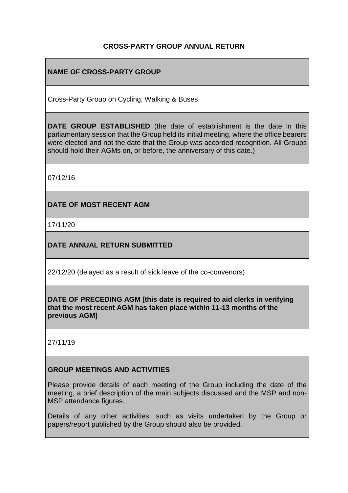## **CROSS-PARTY GROUP ANNUAL RETURN**

# **NAME OF CROSS-PARTY GROUP**

Cross-Party Group on Cycling, Walking & Buses

**DATE GROUP ESTABLISHED** (the date of establishment is the date in this parliamentary session that the Group held its initial meeting, where the office bearers were elected and not the date that the Group was accorded recognition. All Groups should hold their AGMs on, or before, the anniversary of this date.)

07/12/16

**DATE OF MOST RECENT AGM**

17/11/20

**DATE ANNUAL RETURN SUBMITTED**

22/12/20 (delayed as a result of sick leave of the co-convenors)

**DATE OF PRECEDING AGM [this date is required to aid clerks in verifying that the most recent AGM has taken place within 11-13 months of the previous AGM]**

27/11/19

## **GROUP MEETINGS AND ACTIVITIES**

Please provide details of each meeting of the Group including the date of the meeting, a brief description of the main subjects discussed and the MSP and non-MSP attendance figures.

Details of any other activities, such as visits undertaken by the Group or papers/report published by the Group should also be provided.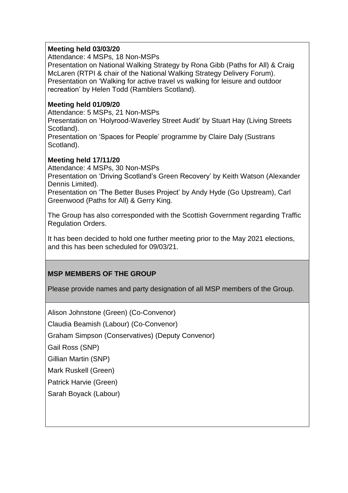#### **Meeting held 03/03/20**

Attendance: 4 MSPs, 18 Non-MSPs

Presentation on National Walking Strategy by Rona Gibb (Paths for All) & Craig McLaren (RTPI & chair of the National Walking Strategy Delivery Forum). Presentation on 'Walking for active travel vs walking for leisure and outdoor recreation' by Helen Todd (Ramblers Scotland).

#### **Meeting held 01/09/20**

Attendance: 5 MSPs, 21 Non-MSPs

Presentation on 'Holyrood-Waverley Street Audit' by Stuart Hay (Living Streets Scotland).

Presentation on 'Spaces for People' programme by Claire Daly (Sustrans Scotland).

#### **Meeting held 17/11/20**

Attendance: 4 MSPs, 30 Non-MSPs

Presentation on 'Driving Scotland's Green Recovery' by Keith Watson (Alexander Dennis Limited).

Presentation on 'The Better Buses Project' by Andy Hyde (Go Upstream), Carl Greenwood (Paths for All) & Gerry King.

The Group has also corresponded with the Scottish Government regarding Traffic Regulation Orders.

It has been decided to hold one further meeting prior to the May 2021 elections, and this has been scheduled for 09/03/21.

## **MSP MEMBERS OF THE GROUP**

Please provide names and party designation of all MSP members of the Group.

Alison Johnstone (Green) (Co-Convenor)

Claudia Beamish (Labour) (Co-Convenor)

Graham Simpson (Conservatives) (Deputy Convenor)

Gail Ross (SNP)

Gillian Martin (SNP)

Mark Ruskell (Green)

Patrick Harvie (Green)

Sarah Boyack (Labour)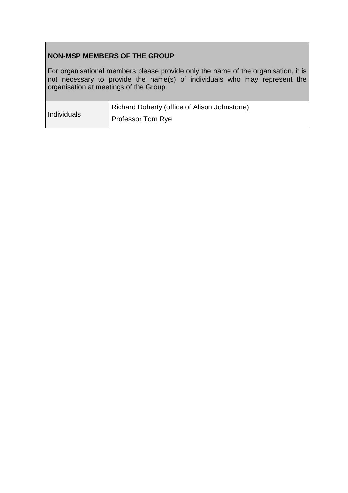# **NON-MSP MEMBERS OF THE GROUP**

For organisational members please provide only the name of the organisation, it is not necessary to provide the name(s) of individuals who may represent the organisation at meetings of the Group.

| Individuals | Richard Doherty (office of Alison Johnstone) |
|-------------|----------------------------------------------|
|             | <b>Professor Tom Rye</b>                     |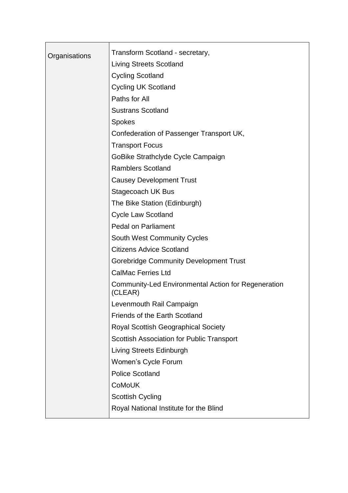|               | Transform Scotland - secretary,                                       |
|---------------|-----------------------------------------------------------------------|
| Organisations | <b>Living Streets Scotland</b>                                        |
|               | <b>Cycling Scotland</b>                                               |
|               | <b>Cycling UK Scotland</b>                                            |
|               | Paths for All                                                         |
|               | <b>Sustrans Scotland</b>                                              |
|               | <b>Spokes</b>                                                         |
|               | Confederation of Passenger Transport UK,                              |
|               | <b>Transport Focus</b>                                                |
|               | GoBike Strathclyde Cycle Campaign                                     |
|               | <b>Ramblers Scotland</b>                                              |
|               | <b>Causey Development Trust</b>                                       |
|               |                                                                       |
|               | Stagecoach UK Bus                                                     |
|               | The Bike Station (Edinburgh)                                          |
|               | <b>Cycle Law Scotland</b>                                             |
|               | <b>Pedal on Parliament</b>                                            |
|               | <b>South West Community Cycles</b>                                    |
|               | <b>Citizens Advice Scotland</b>                                       |
|               | <b>Gorebridge Community Development Trust</b>                         |
|               | <b>CalMac Ferries Ltd</b>                                             |
|               | <b>Community-Led Environmental Action for Regeneration</b><br>(CLEAR) |
|               | Levenmouth Rail Campaign                                              |
|               | <b>Friends of the Earth Scotland</b>                                  |
|               | <b>Royal Scottish Geographical Society</b>                            |
|               | <b>Scottish Association for Public Transport</b>                      |
|               | <b>Living Streets Edinburgh</b>                                       |
|               | Women's Cycle Forum                                                   |
|               | <b>Police Scotland</b>                                                |
|               | <b>CoMoUK</b>                                                         |
|               | <b>Scottish Cycling</b>                                               |
|               | Royal National Institute for the Blind                                |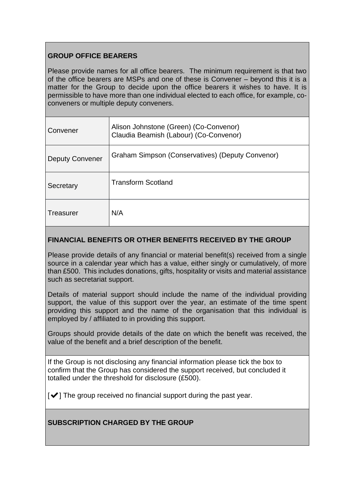# **GROUP OFFICE BEARERS**

Please provide names for all office bearers. The minimum requirement is that two of the office bearers are MSPs and one of these is Convener – beyond this it is a matter for the Group to decide upon the office bearers it wishes to have. It is permissible to have more than one individual elected to each office, for example, coconveners or multiple deputy conveners.

| Convener               | Alison Johnstone (Green) (Co-Convenor)<br>Claudia Beamish (Labour) (Co-Convenor) |
|------------------------|----------------------------------------------------------------------------------|
| <b>Deputy Convener</b> | Graham Simpson (Conservatives) (Deputy Convenor)                                 |
| Secretary              | <b>Transform Scotland</b>                                                        |
| Treasurer              | N/A                                                                              |

## **FINANCIAL BENEFITS OR OTHER BENEFITS RECEIVED BY THE GROUP**

Please provide details of any financial or material benefit(s) received from a single source in a calendar year which has a value, either singly or cumulatively, of more than £500. This includes donations, gifts, hospitality or visits and material assistance such as secretariat support.

Details of material support should include the name of the individual providing support, the value of this support over the year, an estimate of the time spent providing this support and the name of the organisation that this individual is employed by / affiliated to in providing this support.

Groups should provide details of the date on which the benefit was received, the value of the benefit and a brief description of the benefit.

If the Group is not disclosing any financial information please tick the box to confirm that the Group has considered the support received, but concluded it totalled under the threshold for disclosure (£500).

 $\left[\blacktriangledown\right]$  The group received no financial support during the past year.

# **SUBSCRIPTION CHARGED BY THE GROUP**